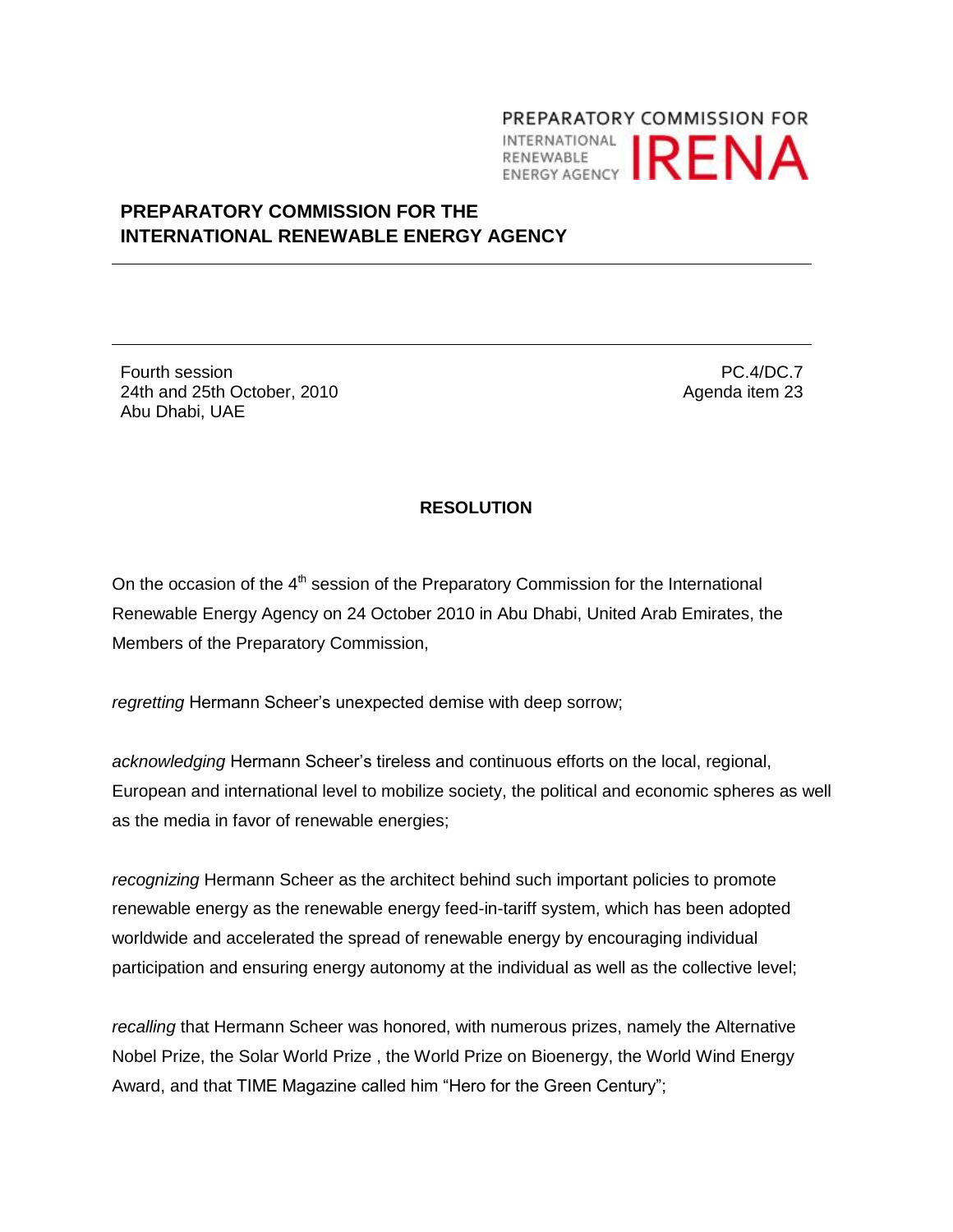## PREPARATORY COMMISSION FOR INTERNATIONAL **IRENA**

## **PREPARATORY COMMISSION FOR THE INTERNATIONAL RENEWABLE ENERGY AGENCY**

Fourth session 24th and 25th October, 2010 Abu Dhabi, UAE

PC.4/DC.7 Agenda item 23

## **RESOLUTION**

On the occasion of the  $4<sup>th</sup>$  session of the Preparatory Commission for the International Renewable Energy Agency on 24 October 2010 in Abu Dhabi, United Arab Emirates, the Members of the Preparatory Commission,

*regretting* Hermann Scheer's unexpected demise with deep sorrow;

*acknowledging* Hermann Scheer's tireless and continuous efforts on the local, regional, European and international level to mobilize society, the political and economic spheres as well as the media in favor of renewable energies;

*recognizing* Hermann Scheer as the architect behind such important policies to promote renewable energy as the renewable energy feed-in-tariff system, which has been adopted worldwide and accelerated the spread of renewable energy by encouraging individual participation and ensuring energy autonomy at the individual as well as the collective level;

*recalling* that Hermann Scheer was honored, with numerous prizes, namely the Alternative Nobel Prize, the Solar World Prize , the World Prize on Bioenergy, the World Wind Energy Award, and that TIME Magazine called him "Hero for the Green Century";